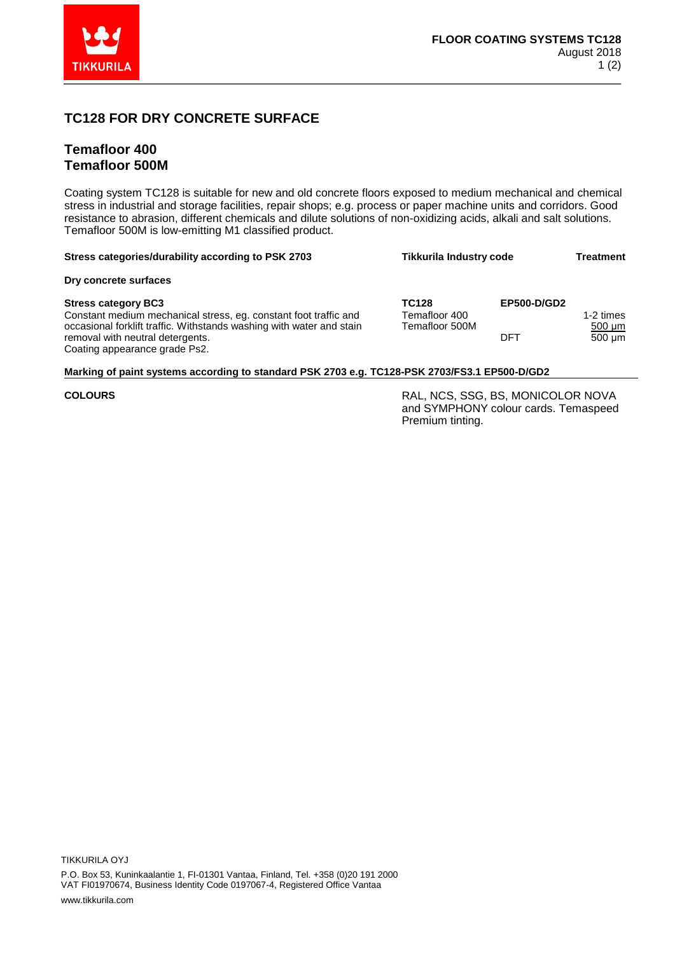

## **TC128 FOR DRY CONCRETE SURFACE**

## **Temafloor 400 Temafloor 500M**

Coating system TC128 is suitable for new and old concrete floors exposed to medium mechanical and chemical stress in industrial and storage facilities, repair shops; e.g. process or paper machine units and corridors. Good resistance to abrasion, different chemicals and dilute solutions of non-oxidizing acids, alkali and salt solutions. Temafloor 500M is low-emitting M1 classified product.

| Stress categories/durability according to PSK 2703                                                                                                                                                                                          | <b>Tikkurila Industry code</b>                  |                           | <b>Treatment</b>                        |
|---------------------------------------------------------------------------------------------------------------------------------------------------------------------------------------------------------------------------------------------|-------------------------------------------------|---------------------------|-----------------------------------------|
| Dry concrete surfaces                                                                                                                                                                                                                       |                                                 |                           |                                         |
| <b>Stress category BC3</b><br>Constant medium mechanical stress, eg. constant foot traffic and<br>occasional forklift traffic. Withstands washing with water and stain<br>removal with neutral detergents.<br>Coating appearance grade Ps2. | <b>TC128</b><br>Temafloor 400<br>Temafloor 500M | <b>EP500-D/GD2</b><br>DFT | 1-2 times<br>$500 \mu m$<br>$500 \mu m$ |

## **Marking of paint systems according to standard PSK 2703 e.g. TC128-PSK 2703/FS3.1 EP500-D/GD2**

**COLOURS** RAL, NCS, SSG, BS, MONICOLOR NOVA and SYMPHONY colour cards. Temaspeed Premium tinting.